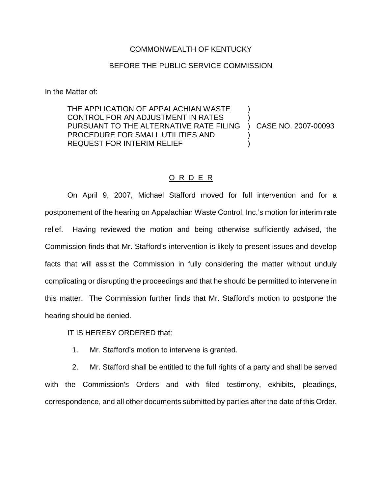## COMMONWEALTH OF KENTUCKY

## BEFORE THE PUBLIC SERVICE COMMISSION

In the Matter of:

THE APPLICATION OF APPALACHIAN WASTE CONTROL FOR AN ADJUSTMENT IN RATES PURSUANT TO THE ALTERNATIVE RATE FILING PROCEDURE FOR SMALL UTILITIES AND REQUEST FOR INTERIM RELIEF ) ) ) CASE NO. 2007-00093 ) )

## O R D E R

On April 9, 2007, Michael Stafford moved for full intervention and for a postponement of the hearing on Appalachian Waste Control, Inc.'s motion for interim rate relief. Having reviewed the motion and being otherwise sufficiently advised, the Commission finds that Mr. Stafford's intervention is likely to present issues and develop facts that will assist the Commission in fully considering the matter without unduly complicating or disrupting the proceedings and that he should be permitted to intervene in this matter. The Commission further finds that Mr. Stafford's motion to postpone the hearing should be denied.

IT IS HEREBY ORDERED that:

1. Mr. Stafford's motion to intervene is granted.

2. Mr. Stafford shall be entitled to the full rights of a party and shall be served with the Commission's Orders and with filed testimony, exhibits, pleadings, correspondence, and all other documents submitted by parties after the date of this Order.